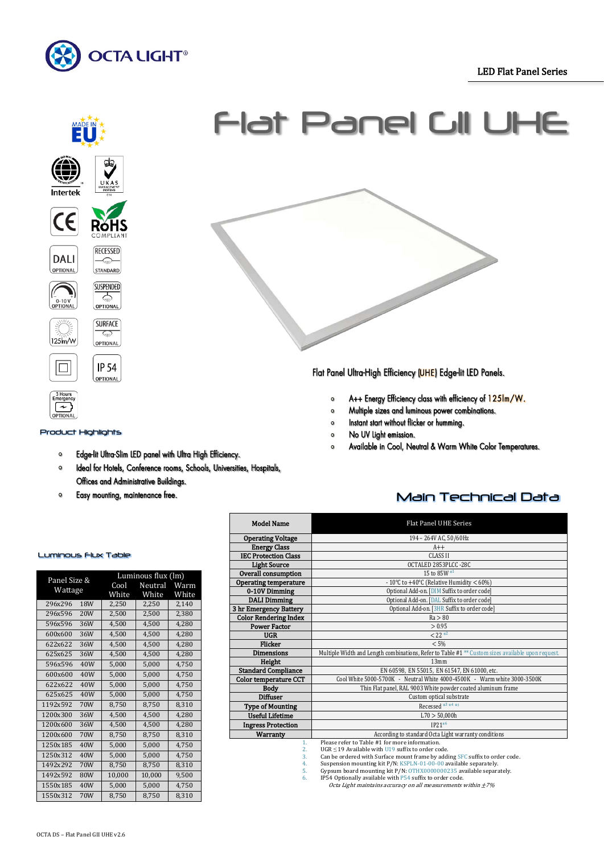# LED Flat Panel Series

Ī





# Product Highlights

- Edge-lit Ultra-Slim LED panel with Ultra High Efficiency.  $\mathbf{o}$
- Ideal for Hotels, Conference rooms, Schools, Universities, Hospitals,  $\bullet$ Offices and Administrative Buildings.
- Easy mounting, maintenance free.  $\bullet$

# Flat Panel GII UHE



Flat Panel Ultra-High Efficiency (UHE) Edge-lit LED Panels.

- A++ Energy Efficiency class with efficiency of 125Im/W.  $\circ$
- Multiple sizes and luminous power combinations.  $\circ$
- Instant start without flicker or humming.  $\Omega$
- No UV light emission.  $\circ$
- Available in Cool, Neutral & Warm White Color Temperatures.

| Flat Panel UHE Series  |
|------------------------|
| 194 - 264V AC, 50/60Hz |
| $A++$                  |
| <b>CLASS II</b>        |
| OCTALED 2853PLCC -28C  |

Main Technical Data

| Panel Size & | Luminous flux (lm) |        |         |       |  |
|--------------|--------------------|--------|---------|-------|--|
| Wattage      |                    | Cool   | Neutral | Warm  |  |
|              |                    | White  | White   | White |  |
| 296x296      | 18W                | 2,250  | 2,250   | 2,140 |  |
| 296x596      | 20W                | 2,500  | 2,500   | 2,380 |  |
| 596x596      | 36W                | 4,500  | 4,500   | 4,280 |  |
| 600x600      | 36W                | 4,500  | 4,500   | 4,280 |  |
| 622x622      | 36W                | 4,500  | 4,500   | 4,280 |  |
| 625x625      | 36W                | 4,500  | 4,500   | 4,280 |  |
| 596x596      | 40W                | 5,000  | 5,000   | 4,750 |  |
| 600x600      | 40W                | 5,000  | 5,000   | 4,750 |  |
| 622x622      | 40W                | 5,000  | 5,000   | 4,750 |  |
| 625x625      | 40W                | 5,000  | 5,000   | 4,750 |  |
| 1192x592     | 70W                | 8,750  | 8,750   | 8.310 |  |
| 1200x300     | 36W                | 4,500  | 4,500   | 4,280 |  |
| 1200x600     | 36W                | 4,500  | 4,500   | 4,280 |  |
| 1200x600     | 70W                | 8,750  | 8,750   | 8,310 |  |
| 1250x185     | 40W                | 5,000  | 5,000   | 4,750 |  |
| 1250x312     | 40W                | 5,000  | 5,000   | 4,750 |  |
| 1492x292     | 70W                | 8,750  | 8,750   | 8,310 |  |
| 1492x592     | 80W                | 10,000 | 10,000  | 9,500 |  |
| 1550x185     | 40W                | 5,000  | 5,000   | 4,750 |  |
| 1550x312     | 70W                | 8,750  | 8,750   | 8,310 |  |

### Please refer to Table #1 for more information. 2. UGR ≤ 19 Available with U19 suffix to order code. 3. Can be ordered with Surface mount frame by adding SFC suffix to order code. 4. Suspension mounting kit P/N: KSPLN-01-00-00 available separately. 5. Gypsum board mounting kit P/N: OTHX0000000235 available separately. Model Name **Operating Voltage Energy Class IEC Protection Cla** Light Source **OCTALED 2853PLC**<br> **Parall consumption** 15 to 85W \* Overall consumption<br>Operating temperature **Prating temperature**  $10^{\circ}C$  to  $+40^{\circ}C$  (Relative Humidity  $< 60\%$ )<br>**0-10V Dimming** Optional Add-on. [DIM Suffix to order code] 0-10V Dimming Data on the Optional Add-on. [DIM Suffix to order code]<br>
Data Dimming Optional Add-on. [DAL Suffix to order code] Optional Add-on. [DAL Suffix to order code] Optional Add-on. [3HR Suffix to order code]<br> $Ra > 80$ **3 hr Emergency Battery**<br>Color Rendering Index (b) Color Rendering Index Ra > 80<br>Power Factor > 0.95 Power Factor  $\geq 0.95$ <br>IIGR  $\leq 22$ UGR  $\leq 22$ <sup>\*\*</sup> Flicker  $< 5\%$ **Dimensions** Multiple Width and Length combinations, Refer to Table #1<sup>\*\*</sup> Custom sizes av<br>**Height** 13mm **Height** 13mm Standard Compliance EN 60598, EN 55015, EN 61547, EN 61000, etc.<br>
Cool White 5000-5700K - Neutral White 4000-4500K - Warm mperature CCT Cool White 5000-5700K - Neutral White 4000-4500K - Warm white 3000-3500K<br>Body Thin Flat panel, RAL 9003 White powder coated aluminum frame **Body** Thin Flat panel, RAL 9003 White powder coated aluminum frame frame coated aluminum frame custom optical substrate Custom optical substrate **Type of Mounting Recessed**  $\stackrel{3}{\sim}$   $\stackrel{4}{\sim}$  Recessed  $\stackrel{3}{\sim}$   $\stackrel{4}{\sim}$   $\stackrel{70}{\sim}$  50.000 Useful Lifetime L70 > 50,000 html L70 > 50,000 html L70 > 50,000 html L70 + 50,000 html L70 + 50,000 html L70 + 50,000 html L70 + 50,000 html L70 + 50,000 html L70 + 50,000 html L70 + 50,000 html L70 + 50,000 html L70 + 50 Ingress Protection<br>Warranty According to standard Octa Light warranty conditions

6. IP54 Optionally available with P54 suffix to order code. Octa Light maintains accuracy on all measurements within ±7%

#### Luminous Flux Table